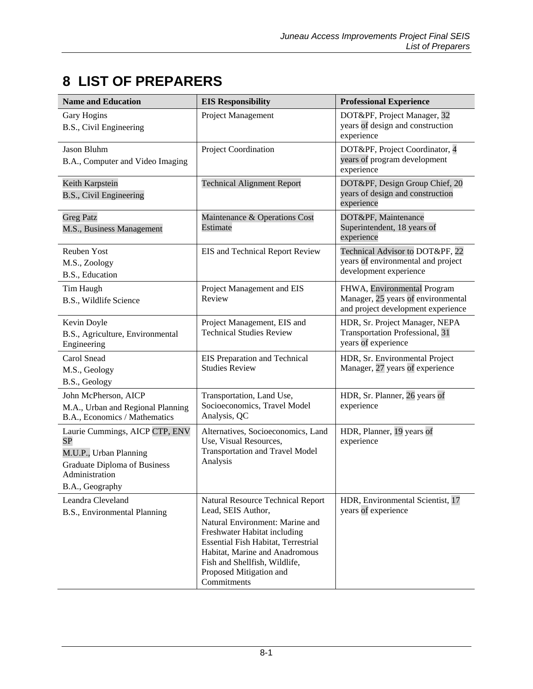## **8 LIST OF PREPARERS**

| <b>Name and Education</b>                                                                                                                         | <b>EIS Responsibility</b>                                                                                                                                                                                                                                                             | <b>Professional Experience</b>                                                                          |
|---------------------------------------------------------------------------------------------------------------------------------------------------|---------------------------------------------------------------------------------------------------------------------------------------------------------------------------------------------------------------------------------------------------------------------------------------|---------------------------------------------------------------------------------------------------------|
| Gary Hogins<br>B.S., Civil Engineering                                                                                                            | Project Management                                                                                                                                                                                                                                                                    | DOT&PF, Project Manager, 32<br>years of design and construction<br>experience                           |
| Jason Bluhm<br>B.A., Computer and Video Imaging                                                                                                   | Project Coordination                                                                                                                                                                                                                                                                  | DOT&PF, Project Coordinator, 4<br>years of program development<br>experience                            |
| Keith Karpstein<br>B.S., Civil Engineering                                                                                                        | <b>Technical Alignment Report</b>                                                                                                                                                                                                                                                     | DOT&PF, Design Group Chief, 20<br>years of design and construction<br>experience                        |
| <b>Greg Patz</b><br>M.S., Business Management                                                                                                     | Maintenance & Operations Cost<br>Estimate                                                                                                                                                                                                                                             | DOT&PF, Maintenance<br>Superintendent, 18 years of<br>experience                                        |
| Reuben Yost<br>M.S., Zoology<br>B.S., Education                                                                                                   | EIS and Technical Report Review                                                                                                                                                                                                                                                       | Technical Advisor to DOT&PF, 22<br>years of environmental and project<br>development experience         |
| Tim Haugh<br>B.S., Wildlife Science                                                                                                               | Project Management and EIS<br>Review                                                                                                                                                                                                                                                  | FHWA, Environmental Program<br>Manager, 25 years of environmental<br>and project development experience |
| Kevin Doyle<br>B.S., Agriculture, Environmental<br>Engineering                                                                                    | Project Management, EIS and<br><b>Technical Studies Review</b>                                                                                                                                                                                                                        | HDR, Sr. Project Manager, NEPA<br><b>Transportation Professional, 31</b><br>years of experience         |
| Carol Snead<br>M.S., Geology<br>B.S., Geology                                                                                                     | EIS Preparation and Technical<br><b>Studies Review</b>                                                                                                                                                                                                                                | HDR, Sr. Environmental Project<br>Manager, 27 years of experience                                       |
| John McPherson, AICP<br>M.A., Urban and Regional Planning<br>B.A., Economics / Mathematics                                                        | Transportation, Land Use,<br>Socioeconomics, Travel Model<br>Analysis, QC                                                                                                                                                                                                             | HDR, Sr. Planner, 26 years of<br>experience                                                             |
| Laurie Cummings, AICP CTP, ENV<br><b>SP</b><br>M.U.P., Urban Planning<br><b>Graduate Diploma of Business</b><br>Administration<br>B.A., Geography | Alternatives, Socioeconomics, Land<br>Use, Visual Resources,<br><b>Transportation and Travel Model</b><br>Analysis                                                                                                                                                                    | HDR, Planner, 19 years of<br>experience                                                                 |
| Leandra Cleveland<br>B.S., Environmental Planning                                                                                                 | <b>Natural Resource Technical Report</b><br>Lead, SEIS Author,<br>Natural Environment: Marine and<br>Freshwater Habitat including<br>Essential Fish Habitat, Terrestrial<br>Habitat, Marine and Anadromous<br>Fish and Shellfish, Wildlife,<br>Proposed Mitigation and<br>Commitments | HDR, Environmental Scientist, 17<br>years of experience                                                 |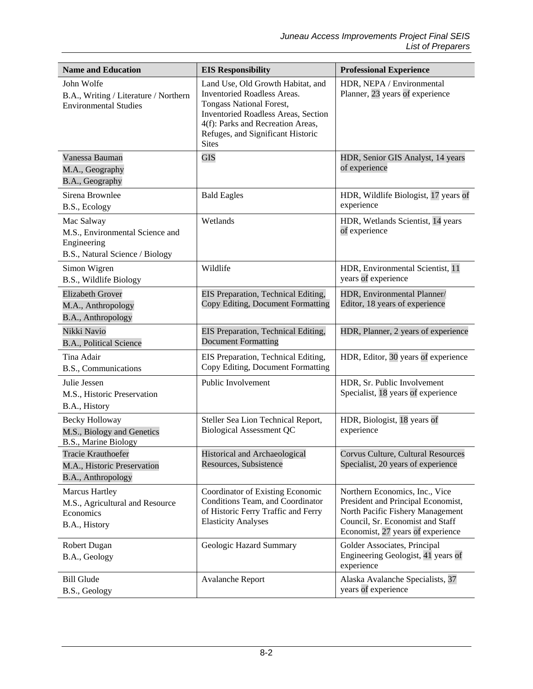| <b>Name and Education</b>                                                                       | <b>EIS Responsibility</b>                                                                                                                                                                                                                   | <b>Professional Experience</b>                                                                                                                                                    |
|-------------------------------------------------------------------------------------------------|---------------------------------------------------------------------------------------------------------------------------------------------------------------------------------------------------------------------------------------------|-----------------------------------------------------------------------------------------------------------------------------------------------------------------------------------|
| John Wolfe<br>B.A., Writing / Literature / Northern<br><b>Environmental Studies</b>             | Land Use, Old Growth Habitat, and<br><b>Inventoried Roadless Areas.</b><br>Tongass National Forest,<br><b>Inventoried Roadless Areas, Section</b><br>4(f): Parks and Recreation Areas,<br>Refuges, and Significant Historic<br><b>Sites</b> | HDR, NEPA / Environmental<br>Planner, 23 years of experience                                                                                                                      |
| Vanessa Bauman<br>M.A., Geography<br>B.A., Geography                                            | <b>GIS</b>                                                                                                                                                                                                                                  | HDR, Senior GIS Analyst, 14 years<br>of experience                                                                                                                                |
| Sirena Brownlee<br>B.S., Ecology                                                                | <b>Bald Eagles</b>                                                                                                                                                                                                                          | HDR, Wildlife Biologist, 17 years of<br>experience                                                                                                                                |
| Mac Salway<br>M.S., Environmental Science and<br>Engineering<br>B.S., Natural Science / Biology | Wetlands                                                                                                                                                                                                                                    | HDR, Wetlands Scientist, 14 years<br>of experience                                                                                                                                |
| Simon Wigren<br>B.S., Wildlife Biology                                                          | Wildlife                                                                                                                                                                                                                                    | HDR, Environmental Scientist, 11<br>years of experience                                                                                                                           |
| <b>Elizabeth Grover</b><br>M.A., Anthropology<br>B.A., Anthropology                             | EIS Preparation, Technical Editing,<br>Copy Editing, Document Formatting                                                                                                                                                                    | HDR, Environmental Planner/<br>Editor, 18 years of experience                                                                                                                     |
| Nikki Navio<br>B.A., Political Science                                                          | EIS Preparation, Technical Editing,<br><b>Document Formatting</b>                                                                                                                                                                           | HDR, Planner, 2 years of experience                                                                                                                                               |
| Tina Adair<br>B.S., Communications                                                              | EIS Preparation, Technical Editing,<br>Copy Editing, Document Formatting                                                                                                                                                                    | HDR, Editor, 30 years of experience                                                                                                                                               |
| Julie Jessen<br>M.S., Historic Preservation<br>B.A., History                                    | Public Involvement                                                                                                                                                                                                                          | HDR, Sr. Public Involvement<br>Specialist, 18 years of experience                                                                                                                 |
| Becky Holloway<br>M.S., Biology and Genetics<br>B.S., Marine Biology                            | Steller Sea Lion Technical Report,<br><b>Biological Assessment QC</b>                                                                                                                                                                       | HDR, Biologist, 18 years of<br>experience                                                                                                                                         |
| Tracie Krauthoefer<br>M.A., Historic Preservation<br>B.A., Anthropology                         | <b>Historical and Archaeological</b><br>Resources, Subsistence                                                                                                                                                                              | <b>Corvus Culture, Cultural Resources</b><br>Specialist, 20 years of experience                                                                                                   |
| <b>Marcus Hartley</b><br>M.S., Agricultural and Resource<br>Economics<br>B.A., History          | Coordinator of Existing Economic<br>Conditions Team, and Coordinator<br>of Historic Ferry Traffic and Ferry<br><b>Elasticity Analyses</b>                                                                                                   | Northern Economics, Inc., Vice<br>President and Principal Economist,<br>North Pacific Fishery Management<br>Council, Sr. Economist and Staff<br>Economist, 27 years of experience |
| Robert Dugan<br>B.A., Geology                                                                   | Geologic Hazard Summary                                                                                                                                                                                                                     | Golder Associates, Principal<br>Engineering Geologist, 41 years of<br>experience                                                                                                  |
| <b>Bill Glude</b><br>B.S., Geology                                                              | Avalanche Report                                                                                                                                                                                                                            | Alaska Avalanche Specialists, 37<br>years of experience                                                                                                                           |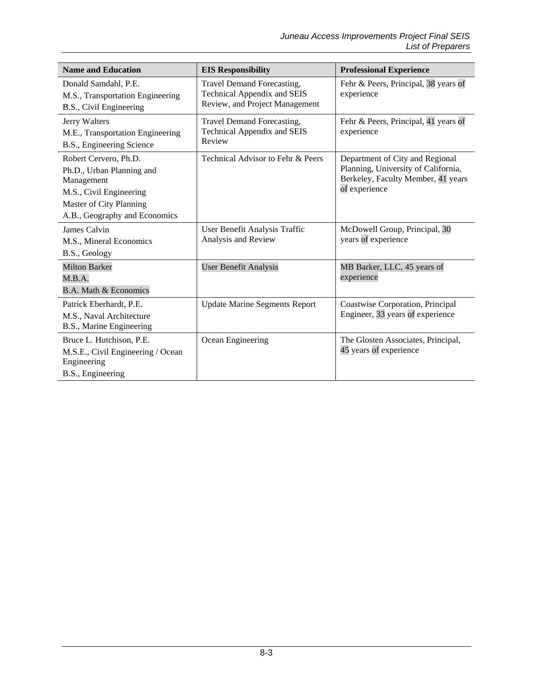| <b>Name and Education</b>                                                                                                                               | <b>EIS Responsibility</b>                                                                   | <b>Professional Experience</b>                                                                                                |
|---------------------------------------------------------------------------------------------------------------------------------------------------------|---------------------------------------------------------------------------------------------|-------------------------------------------------------------------------------------------------------------------------------|
| Donald Samdahl, P.E.<br>M.S., Transportation Engineering<br>B.S., Civil Engineering                                                                     | Travel Demand Forecasting,<br>Technical Appendix and SEIS<br>Review, and Project Management | Fehr & Peers, Principal, 38 years of<br>experience                                                                            |
| Jerry Walters<br>M.E., Transportation Engineering<br>B.S., Engineering Science                                                                          | Travel Demand Forecasting,<br><b>Technical Appendix and SEIS</b><br>Review                  | Fehr & Peers, Principal, 41 years of<br>experience                                                                            |
| Robert Cervero, Ph.D.<br>Ph.D., Urban Planning and<br>Management<br>M.S., Civil Engineering<br>Master of City Planning<br>A.B., Geography and Economics | Technical Advisor to Fehr & Peers                                                           | Department of City and Regional<br>Planning, University of California,<br>Berkeley, Faculty Member, 41 years<br>of experience |
| James Calvin<br>M.S., Mineral Economics<br>B.S., Geology                                                                                                | User Benefit Analysis Traffic<br>Analysis and Review                                        | McDowell Group, Principal, 30<br>years of experience                                                                          |
| <b>Milton Barker</b><br>M.B.A.<br>B.A. Math & Economics                                                                                                 | <b>User Benefit Analysis</b>                                                                | MB Barker, LLC, 45 years of<br>experience                                                                                     |
| Patrick Eberhardt, P.E.<br>M.S., Naval Architecture<br>B.S., Marine Engineering                                                                         | <b>Update Marine Segments Report</b>                                                        | Coastwise Corporation, Principal<br>Engineer, 33 years of experience                                                          |
| Bruce L. Hutchison, P.E.<br>M.S.E., Civil Engineering / Ocean<br>Engineering<br>B.S., Engineering                                                       | Ocean Engineering                                                                           | The Glosten Associates, Principal,<br>45 years of experience                                                                  |